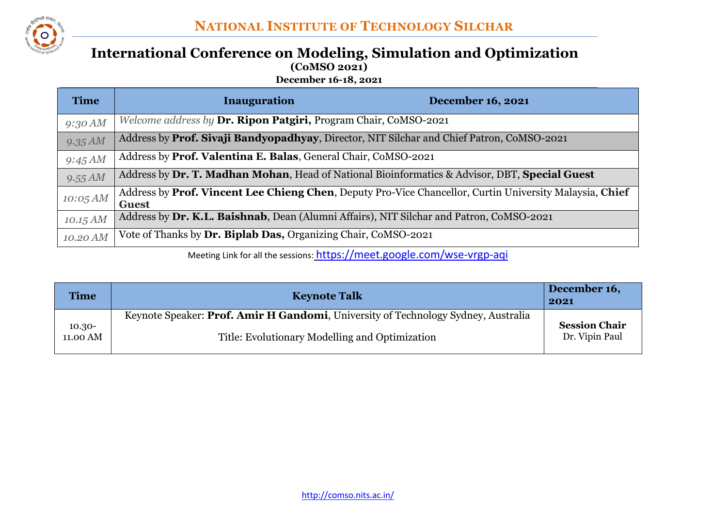

**December 16-18, 2021**

| <b>Time</b> | <b>Inauguration</b><br><b>December 16, 2021</b>                                                                         |
|-------------|-------------------------------------------------------------------------------------------------------------------------|
| 9:30 AM     | Welcome address by Dr. Ripon Patgiri, Program Chair, CoMSO-2021                                                         |
| 9.35 AM     | Address by Prof. Sivaji Bandyopadhyay, Director, NIT Silchar and Chief Patron, CoMSO-2021                               |
| 9:45 AM     | Address by Prof. Valentina E. Balas, General Chair, CoMSO-2021                                                          |
| 9.55 AM     | Address by Dr. T. Madhan Mohan, Head of National Bioinformatics & Advisor, DBT, Special Guest                           |
| 10:05 AM    | Address by Prof. Vincent Lee Chieng Chen, Deputy Pro-Vice Chancellor, Curtin University Malaysia, Chief<br><b>Guest</b> |
| 10.15 AM    | Address by Dr. K.L. Baishnab, Dean (Alumni Affairs), NIT Silchar and Patron, CoMSO-2021                                 |
| 10.20 AM    | Vote of Thanks by Dr. Biplab Das, Organizing Chair, CoMSO-2021                                                          |

[Meeting](http://comso.nits.ac.in/) Link for all the sessions: https://meet.google.com/wse-vrgp-aqi

| <b>Time</b>           | <b>Keynote Talk</b>                                                               | December 16,<br>2021                   |
|-----------------------|-----------------------------------------------------------------------------------|----------------------------------------|
|                       | Keynote Speaker: Prof. Amir H Gandomi, University of Technology Sydney, Australia |                                        |
| $10.30 -$<br>11.00 AM | Title: Evolutionary Modelling and Optimization                                    | <b>Session Chair</b><br>Dr. Vipin Paul |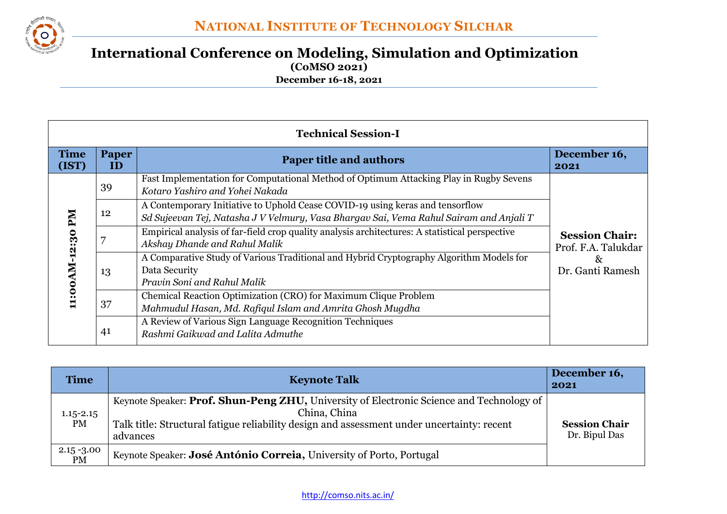

**(CoMSO 2021)**

| <b>Technical Session-I</b> |              |                                                                                                                                                                         |                                              |  |
|----------------------------|--------------|-------------------------------------------------------------------------------------------------------------------------------------------------------------------------|----------------------------------------------|--|
| <b>Time</b><br>(IST)       | Paper<br>ID. | <b>Paper title and authors</b>                                                                                                                                          | December 16,<br>2021                         |  |
|                            | 39           | Fast Implementation for Computational Method of Optimum Attacking Play in Rugby Sevens<br>Kotaro Yashiro and Yohei Nakada                                               |                                              |  |
| N4<br>11:00AM-12:30        | 12           | A Contemporary Initiative to Uphold Cease COVID-19 using keras and tensorflow<br>Sd Sujeevan Tej, Natasha J V Velmury, Vasa Bhargav Sai, Vema Rahul Sairam and Anjali T |                                              |  |
|                            | 7            | Empirical analysis of far-field crop quality analysis architectures: A statistical perspective<br>Akshay Dhande and Rahul Malik                                         | <b>Session Chair:</b><br>Prof. F.A. Talukdar |  |
|                            | 13           | A Comparative Study of Various Traditional and Hybrid Cryptography Algorithm Models for<br>Data Security<br>Pravin Soni and Rahul Malik                                 | $\&$<br>Dr. Ganti Ramesh                     |  |
|                            | 37           | Chemical Reaction Optimization (CRO) for Maximum Clique Problem<br>Mahmudul Hasan, Md. Rafiqul Islam and Amrita Ghosh Mugdha                                            |                                              |  |
|                            | 41           | A Review of Various Sign Language Recognition Techniques<br>Rashmi Gaikwad and Lalita Admuthe                                                                           |                                              |  |

| <b>Time</b>                | <b>Keynote Talk</b>                                                                                                                                                                                                | December 16,<br>2021                  |
|----------------------------|--------------------------------------------------------------------------------------------------------------------------------------------------------------------------------------------------------------------|---------------------------------------|
| $1.15 - 2.15$<br>PM        | Keynote Speaker: Prof. Shun-Peng ZHU, University of Electronic Science and Technology of<br>China, China<br>Talk title: Structural fatigue reliability design and assessment under uncertainty: recent<br>advances | <b>Session Chair</b><br>Dr. Bipul Das |
| $2.15 - 3.00$<br><b>PM</b> | Keynote Speaker: José António Correia, University of Porto, Portugal                                                                                                                                               |                                       |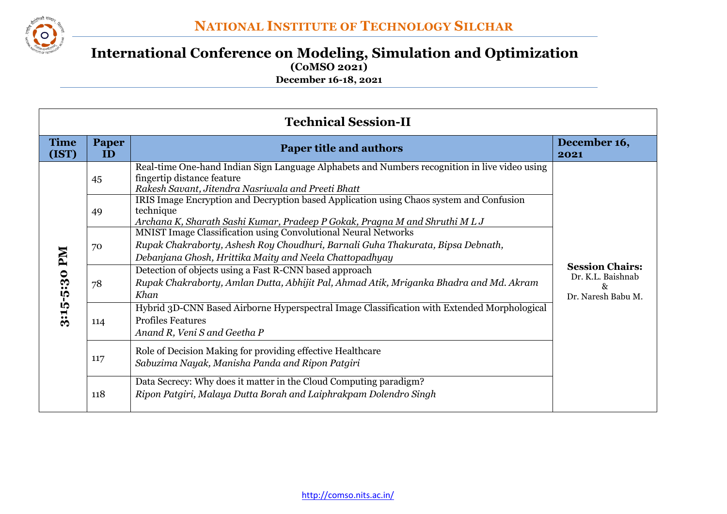

**(CoMSO 2021)**

| <b>Technical Session-II</b> |                    |                                                                                                                                                                                                                     |                                                                        |  |
|-----------------------------|--------------------|---------------------------------------------------------------------------------------------------------------------------------------------------------------------------------------------------------------------|------------------------------------------------------------------------|--|
| <b>Time</b><br>(IST)        | <b>Paper</b><br>ID | <b>Paper title and authors</b>                                                                                                                                                                                      | December 16,<br>2021                                                   |  |
| 3:15-5:30 PM                | 45                 | Real-time One-hand Indian Sign Language Alphabets and Numbers recognition in live video using<br>fingertip distance feature<br>Rakesh Savant, Jitendra Nasriwala and Preeti Bhatt                                   |                                                                        |  |
|                             | 49                 | IRIS Image Encryption and Decryption based Application using Chaos system and Confusion<br>technique<br>Archana K, Sharath Sashi Kumar, Pradeep P Gokak, Pragna M and Shruthi M L J                                 |                                                                        |  |
|                             | 70                 | <b>MNIST Image Classification using Convolutional Neural Networks</b><br>Rupak Chakraborty, Ashesh Roy Choudhuri, Barnali Guha Thakurata, Bipsa Debnath,<br>Debanjana Ghosh, Hrittika Maity and Neela Chattopadhyay |                                                                        |  |
|                             | 78                 | Detection of objects using a Fast R-CNN based approach<br>Rupak Chakraborty, Amlan Dutta, Abhijit Pal, Ahmad Atik, Mriganka Bhadra and Md. Akram<br>Khan                                                            | <b>Session Chairs:</b><br>Dr. K.L. Baishnab<br>&<br>Dr. Naresh Babu M. |  |
|                             | 114                | Hybrid 3D-CNN Based Airborne Hyperspectral Image Classification with Extended Morphological<br><b>Profiles Features</b><br>Anand R, Veni S and Geetha P                                                             |                                                                        |  |
|                             | 117                | Role of Decision Making for providing effective Healthcare<br>Sabuzima Nayak, Manisha Panda and Ripon Patgiri                                                                                                       |                                                                        |  |
|                             | 118                | Data Secrecy: Why does it matter in the Cloud Computing paradigm?<br>Ripon Patgiri, Malaya Dutta Borah and Laiphrakpam Dolendro Singh                                                                               |                                                                        |  |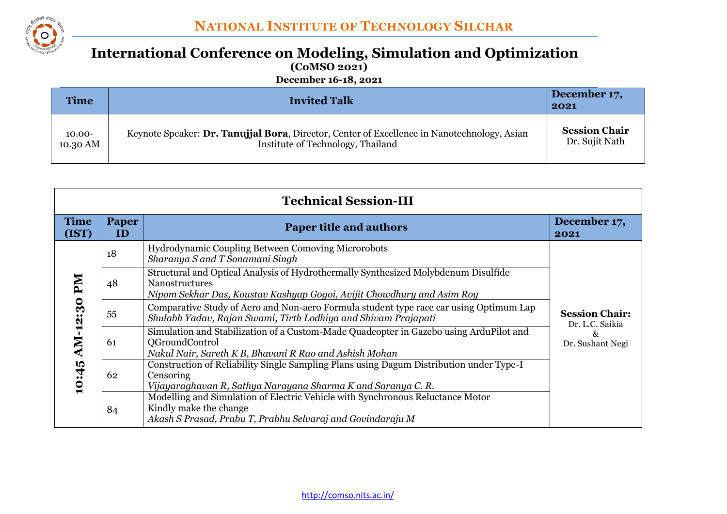

| <b>Time</b> | <b>Invited Talk</b>                                                                         | December 17,<br>2021 |
|-------------|---------------------------------------------------------------------------------------------|----------------------|
| $10.00 -$   | Keynote Speaker: Dr. Tanujjal Bora, Director, Center of Excellence in Nanotechnology, Asian | <b>Session Chair</b> |
| 10.30 AM    | Institute of Technology, Thailand                                                           | Dr. Sujit Nath       |

| <b>Technical Session-III</b> |                    |                                                                                                                                                                                       |                                          |  |
|------------------------------|--------------------|---------------------------------------------------------------------------------------------------------------------------------------------------------------------------------------|------------------------------------------|--|
| <b>Time</b><br>(IST)         | <b>Paper</b><br>ID | <b>Paper title and authors</b>                                                                                                                                                        | December 17,<br>2021                     |  |
| PМ<br>AM-12:30<br>10:45      | 18                 | Hydrodynamic Coupling Between Comoving Microrobots<br>Sharanya S and T Sonamani Singh                                                                                                 |                                          |  |
|                              | 48                 | Structural and Optical Analysis of Hydrothermally Synthesized Molybdenum Disulfide<br><b>Nanostructures</b><br>Nipom Sekhar Das, Koustav Kashyap Gogoi, Avijit Chowdhury and Asim Roy |                                          |  |
|                              | 55                 | Comparative Study of Aero and Non-aero Formula student type race car using Optimum Lap<br>Shulabh Yadav, Rajan Swami, Tirth Lodhiya and Shivam Prajapati                              | <b>Session Chair:</b><br>Dr. L.C. Saikia |  |
|                              | 61                 | Simulation and Stabilization of a Custom-Made Quadcopter in Gazebo using ArduPilot and<br><b>QGroundControl</b><br>Nakul Nair, Sareth K B, Bhavani R Rao and Ashish Mohan             | &<br>Dr. Sushant Negi                    |  |
|                              | 62                 | Construction of Reliability Single Sampling Plans using Dagum Distribution under Type-I<br>Censoring<br>Vijayaraghavan R, Sathya Narayana Sharma K and Saranya C. R.                  |                                          |  |
|                              | 84                 | Modelling and Simulation of Electric Vehicle with Synchronous Reluctance Motor<br>Kindly make the change<br>Akash S Prasad, Prabu T, Prabhu Selvaraj and Govindaraju M                |                                          |  |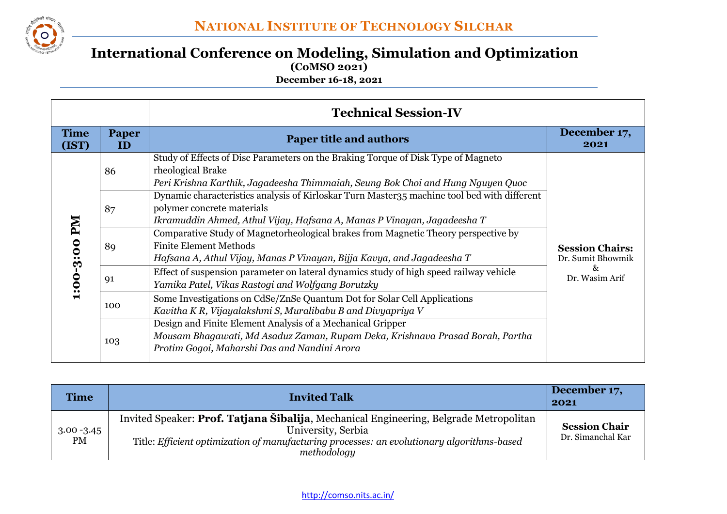

**(CoMSO 2021)**

|                      |            | <b>Technical Session-IV</b>                                                                                                                                                                           |                                             |
|----------------------|------------|-------------------------------------------------------------------------------------------------------------------------------------------------------------------------------------------------------|---------------------------------------------|
| <b>Time</b><br>(IST) | Paper<br>Ш | <b>Paper title and authors</b>                                                                                                                                                                        | December 17,<br>2021                        |
| 1:00-3:00 PM         | 86         | Study of Effects of Disc Parameters on the Braking Torque of Disk Type of Magneto<br>rheological Brake<br>Peri Krishna Karthik, Jagadeesha Thimmaiah, Seung Bok Choi and Hung Nguyen Quoc             |                                             |
|                      | 87         | Dynamic characteristics analysis of Kirloskar Turn Master 35 machine tool bed with different<br>polymer concrete materials<br>Ikramuddin Ahmed, Athul Vijay, Hafsana A, Manas P Vinayan, Jagadeesha T |                                             |
|                      | 89         | Comparative Study of Magnetorheological brakes from Magnetic Theory perspective by<br><b>Finite Element Methods</b><br>Hafsana A, Athul Vijay, Manas P Vinayan, Bijja Kavya, and Jagadeesha T         | <b>Session Chairs:</b><br>Dr. Sumit Bhowmik |
|                      | 91         | Effect of suspension parameter on lateral dynamics study of high speed railway vehicle<br>Yamika Patel, Vikas Rastogi and Wolfgang Borutzky                                                           | Dr. Wasim Arif                              |
|                      | 100        | Some Investigations on CdSe/ZnSe Quantum Dot for Solar Cell Applications<br>Kavitha K R, Vijayalakshmi S, Muralibabu B and Divyapriya V                                                               |                                             |
|                      | 103        | Design and Finite Element Analysis of a Mechanical Gripper<br>Mousam Bhagawati, Md Asaduz Zaman, Rupam Deka, Krishnava Prasad Borah, Partha<br>Protim Gogoi, Maharshi Das and Nandini Arora           |                                             |

| <b>Time</b>         | <b>Invited Talk</b>                                                                                                                                                                                                       | December 17,<br>2021                      |
|---------------------|---------------------------------------------------------------------------------------------------------------------------------------------------------------------------------------------------------------------------|-------------------------------------------|
| $3.00 - 3.45$<br>PM | Invited Speaker: Prof. Tatjana Šibalija, Mechanical Engineering, Belgrade Metropolitan<br>University, Serbia<br>Title: Efficient optimization of manufacturing processes: an evolutionary algorithms-based<br>methodology | <b>Session Chair</b><br>Dr. Simanchal Kar |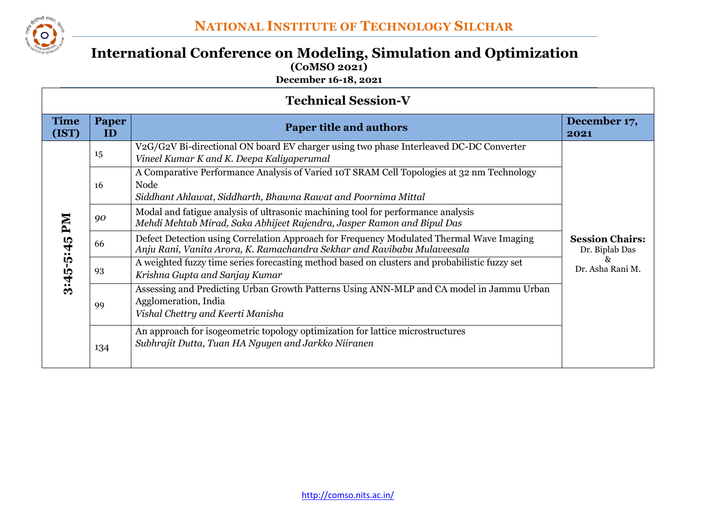

**(CoMSO 2021)**

| <b>Technical Session-V</b> |                    |                                                                                                                                                                     |                                                              |
|----------------------------|--------------------|---------------------------------------------------------------------------------------------------------------------------------------------------------------------|--------------------------------------------------------------|
| <b>Time</b><br>(IST)       | <b>Paper</b><br>ID | <b>Paper title and authors</b>                                                                                                                                      | December 17,<br>2021                                         |
| Md<br>3:45-5:45            | 15                 | V2G/G2V Bi-directional ON board EV charger using two phase Interleaved DC-DC Converter<br>Vineel Kumar K and K. Deepa Kaliyaperumal                                 |                                                              |
|                            | 16                 | A Comparative Performance Analysis of Varied 10T SRAM Cell Topologies at 32 nm Technology<br>Node<br>Siddhant Ahlawat, Siddharth, Bhawna Rawat and Poornima Mittal  |                                                              |
|                            | 90                 | Modal and fatigue analysis of ultrasonic machining tool for performance analysis<br>Mehdi Mehtab Mirad, Saka Abhijeet Rajendra, Jasper Ramon and Bipul Das          |                                                              |
|                            | 66                 | Defect Detection using Correlation Approach for Frequency Modulated Thermal Wave Imaging<br>Anju Rani, Vanita Arora, K. Ramachandra Sekhar and Ravibabu Mulaveesala | <b>Session Chairs:</b><br>Dr. Biplab Das<br>Dr. Asha Rani M. |
|                            | 93                 | A weighted fuzzy time series forecasting method based on clusters and probabilistic fuzzy set<br>Krishna Gupta and Sanjay Kumar                                     |                                                              |
|                            | 99                 | Assessing and Predicting Urban Growth Patterns Using ANN-MLP and CA model in Jammu Urban<br>Agglomeration, India<br>Vishal Chettry and Keerti Manisha               |                                                              |
|                            | 134                | An approach for isogeometric topology optimization for lattice microstructures<br>Subhrajit Dutta, Tuan HA Nguyen and Jarkko Niiranen                               |                                                              |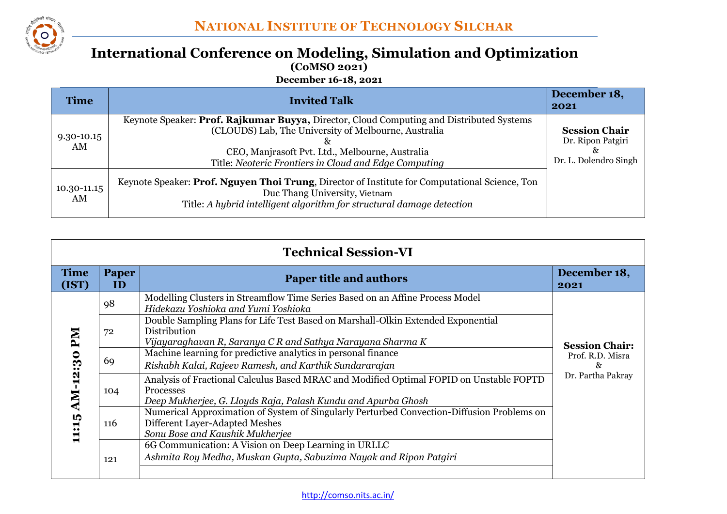

| <b>Time</b>           | <b>Invited Talk</b>                                                                                                                                                                                                                                          | December 18,<br>2021                                               |
|-----------------------|--------------------------------------------------------------------------------------------------------------------------------------------------------------------------------------------------------------------------------------------------------------|--------------------------------------------------------------------|
| $9.30 - 10.15$<br>AM  | Keynote Speaker: Prof. Rajkumar Buyya, Director, Cloud Computing and Distributed Systems<br>(CLOUDS) Lab, The University of Melbourne, Australia<br>CEO, Manjrasoft Pvt. Ltd., Melbourne, Australia<br>Title: Neoteric Frontiers in Cloud and Edge Computing | <b>Session Chair</b><br>Dr. Ripon Patgiri<br>Dr. L. Dolendro Singh |
| $10.30 - 11.15$<br>AM | Keynote Speaker: Prof. Nguyen Thoi Trung, Director of Institute for Computational Science, Ton<br>Duc Thang University, Vietnam<br>Title: A hybrid intelligent algorithm for structural damage detection                                                     |                                                                    |

| <b>Technical Session-VI</b> |                    |                                                                                                                                                                       |                       |  |
|-----------------------------|--------------------|-----------------------------------------------------------------------------------------------------------------------------------------------------------------------|-----------------------|--|
| <b>Time</b><br>(IST)        | <b>Paper</b><br>ID | <b>Paper title and authors</b>                                                                                                                                        | December 18,<br>2021  |  |
|                             | 98                 | Modelling Clusters in Streamflow Time Series Based on an Affine Process Model<br>Hidekazu Yoshioka and Yumi Yoshioka                                                  |                       |  |
| Md<br>AM-12:30<br>11:15     | 72                 | Double Sampling Plans for Life Test Based on Marshall-Olkin Extended Exponential<br>Distribution<br>Vijayaraghavan R, Saranya C R and Sathya Narayana Sharma K        | <b>Session Chair:</b> |  |
|                             | 69                 | Machine learning for predictive analytics in personal finance<br>Rishabh Kalai, Rajeev Ramesh, and Karthik Sundararajan                                               | Prof. R.D. Misra<br>& |  |
|                             | 104                | Analysis of Fractional Calculus Based MRAC and Modified Optimal FOPID on Unstable FOPTD<br>Processes<br>Deep Mukherjee, G. Lloyds Raja, Palash Kundu and Apurba Ghosh | Dr. Partha Pakray     |  |
|                             | 116                | Numerical Approximation of System of Singularly Perturbed Convection-Diffusion Problems on<br>Different Layer-Adapted Meshes<br>Sonu Bose and Kaushik Mukherjee       |                       |  |
|                             | 121                | 6G Communication: A Vision on Deep Learning in URLLC<br>Ashmita Roy Medha, Muskan Gupta, Sabuzima Nayak and Ripon Patgiri                                             |                       |  |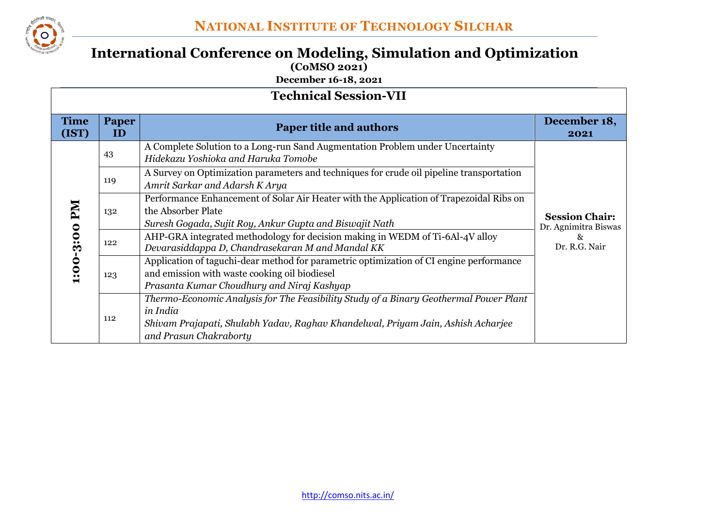

**(CoMSO 2021)**

| <b>Technical Session-VII</b> |                    |                                                                                                                                                                                                                 |                                                                |  |  |
|------------------------------|--------------------|-----------------------------------------------------------------------------------------------------------------------------------------------------------------------------------------------------------------|----------------------------------------------------------------|--|--|
| <b>Time</b><br>(IST)         | <b>Paper</b><br>ID | <b>Paper title and authors</b>                                                                                                                                                                                  | December 18,<br>2021                                           |  |  |
| 1:00-3:00 PM                 | 43                 | A Complete Solution to a Long-run Sand Augmentation Problem under Uncertainty<br>Hidekazu Yoshioka and Haruka Tomobe                                                                                            |                                                                |  |  |
|                              | 119                | A Survey on Optimization parameters and techniques for crude oil pipeline transportation<br>Amrit Sarkar and Adarsh K Arya                                                                                      |                                                                |  |  |
|                              | 132                | Performance Enhancement of Solar Air Heater with the Application of Trapezoidal Ribs on<br>the Absorber Plate<br>Suresh Gogada, Sujit Roy, Ankur Gupta and Biswajit Nath                                        | <b>Session Chair:</b><br>Dr. Agnimitra Biswas<br>Dr. R.G. Nair |  |  |
|                              | 122                | AHP-GRA integrated methodology for decision making in WEDM of Ti-6Al-4V alloy<br>Devarasiddappa D, Chandrasekaran M and Mandal KK                                                                               |                                                                |  |  |
|                              | 123                | Application of taguchi-dear method for parametric optimization of CI engine performance<br>and emission with waste cooking oil biodiesel<br>Prasanta Kumar Choudhury and Niraj Kashyap                          |                                                                |  |  |
|                              | 112                | Thermo-Economic Analysis for The Feasibility Study of a Binary Geothermal Power Plant<br>in India<br>Shivam Prajapati, Shulabh Yadav, Raghav Khandelwal, Priyam Jain, Ashish Acharjee<br>and Prasun Chakraborty |                                                                |  |  |